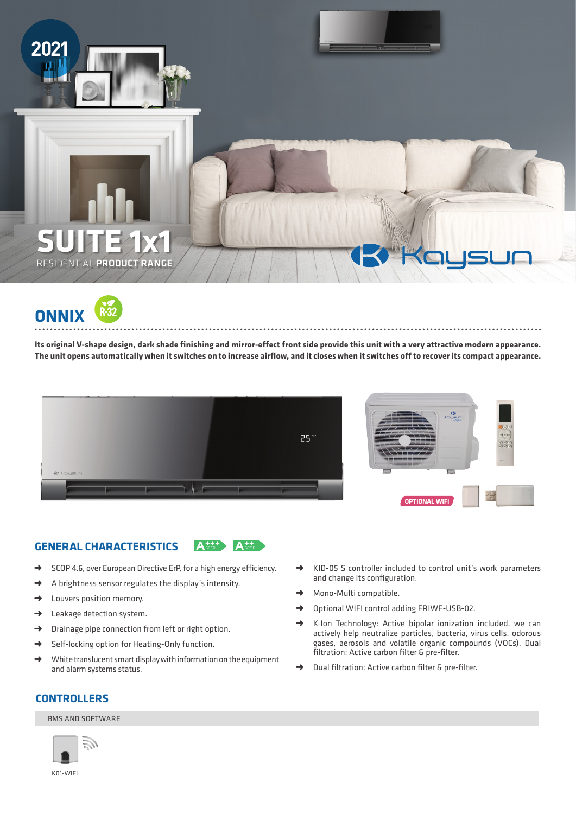

**ONNIX**

**Its original V-shape design, dark shade finishing and mirror-effect front side provide this unit with a very attractive modern appearance. The unit opens automatically when it switches on to increase airflow, and it closes when it switches off to recover its compact appearance.**





## **GENERAL CHARACTERISTICS**

**A<sup>++++</sup> A<sup>++</sup>** 

- → SCOP 4.6, over European Directive ErP, for a high energy efficiency.
- ➜ A brightness sensor regulates the display's intensity.
- $\rightarrow$  Louvers position memory.
- $\rightarrow$  Leakage detection system.
- ➜ Drainage pipe connection from left or right option.
- → Self-locking option for Heating-Only function.
- → White translucent smart display with information on the equipment and alarm systems status.
- ➜ KID-05 S controller included to control unit's work parameters and change its configuration.
- → Mono-Multi compatible.
- ➜ Optional WIFI control adding FRIWF-USB-02.

- → K-Ion Technology: Active bipolar ionization included, we can actively help neutralize particles, bacteria, virus cells, odorous gases, aerosols and volatile organic compounds (VOCs). Dual filtration: Active carbon filter & pre-filter.
- Dual filtration: Active carbon filter & pre-filter.

# **CONTROLLERS**

### BMS AND SOFTWARE